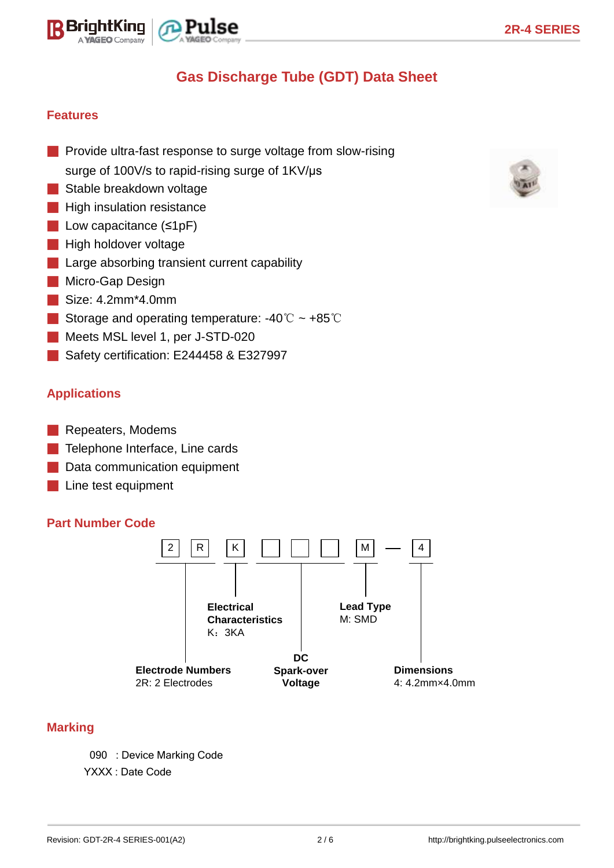



# **Gas Discharge Tube (GDT) Data Sheet**

## **Features**

- Provide ultra-fast response to surge voltage from slow-rising surge of 100V/s to rapid-rising surge of 1KV/us
- Stable breakdown voltage
- **B** High insulation resistance
- Low capacitance (≤1pF)
- High holdover voltage
- Large absorbing transient current capability
- Micro-Gap Design
- Size: 4.2mm\*4.0mm
- Storage and operating temperature: -40℃ ~ +85℃
- Meets MSL level 1, per J-STD-020
- Safety certification: E244458 & E327997

## **Applications**

- Repeaters, Modems
- Telephone Interface, Line cards
- Data communication equipment
- Line test equipment

#### **Part Number Code**



#### **Marking**

090 : Device Marking Code

YXXX : Date Code

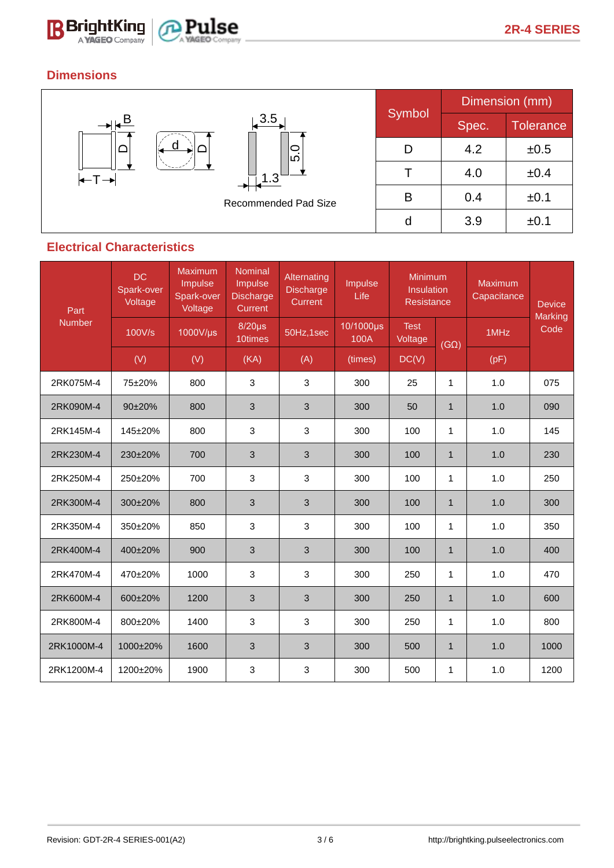



# **Dimensions**



## **Electrical Characteristics**

| Part<br><b>Number</b> | DC<br>Spark-over<br>Voltage | Maximum<br>Impulse<br>Spark-over<br>Voltage | Nominal<br>Impulse<br><b>Discharge</b><br>Current | Alternating<br><b>Discharge</b><br>Current | Impulse<br>Life   | Minimum<br>Insulation<br><b>Resistance</b> |              | Maximum<br>Capacitance | <b>Device</b>   |
|-----------------------|-----------------------------|---------------------------------------------|---------------------------------------------------|--------------------------------------------|-------------------|--------------------------------------------|--------------|------------------------|-----------------|
|                       | 100V/s                      | 1000V/µs                                    | $8/20\mu s$<br>10times                            | 50Hz,1sec                                  | 10/1000µs<br>100A | <b>Test</b><br>Voltage                     | $(G\Omega)$  | 1MHz                   | Marking<br>Code |
|                       | (V)                         | (V)                                         | (KA)                                              | (A)                                        | (times)           | DC(V)                                      |              | (pF)                   |                 |
| 2RK075M-4             | 75±20%                      | 800                                         | 3                                                 | 3                                          | 300               | 25                                         | $\mathbf{1}$ | 1.0                    | 075             |
| 2RK090M-4             | $90+20%$                    | 800                                         | 3                                                 | 3                                          | 300               | 50                                         | $\mathbf{1}$ | 1.0                    | 090             |
| 2RK145M-4             | 145±20%                     | 800                                         | 3                                                 | 3                                          | 300               | 100                                        | $\mathbf 1$  | 1.0                    | 145             |
| 2RK230M-4             | 230±20%                     | 700                                         | 3                                                 | 3                                          | 300               | 100                                        | $\mathbf{1}$ | 1.0                    | 230             |
| 2RK250M-4             | 250±20%                     | 700                                         | 3                                                 | 3                                          | 300               | 100                                        | 1            | 1.0                    | 250             |
| 2RK300M-4             | 300±20%                     | 800                                         | 3                                                 | $\mathbf{3}$                               | 300               | 100                                        | $\mathbf{1}$ | 1.0                    | 300             |
| 2RK350M-4             | 350±20%                     | 850                                         | 3                                                 | 3                                          | 300               | 100                                        | 1            | 1.0                    | 350             |
| 2RK400M-4             | 400±20%                     | 900                                         | 3                                                 | 3                                          | 300               | 100                                        | $\mathbf{1}$ | 1.0                    | 400             |
| 2RK470M-4             | 470±20%                     | 1000                                        | 3                                                 | 3                                          | 300               | 250                                        | 1            | 1.0                    | 470             |
| 2RK600M-4             | 600±20%                     | 1200                                        | 3                                                 | 3                                          | 300               | 250                                        | $\mathbf{1}$ | 1.0                    | 600             |
| 2RK800M-4             | 800±20%                     | 1400                                        | 3                                                 | $\mathbf{3}$                               | 300               | 250                                        | $\mathbf{1}$ | 1.0                    | 800             |
| 2RK1000M-4            | 1000±20%                    | 1600                                        | 3                                                 | 3                                          | 300               | 500                                        | $\mathbf{1}$ | 1.0                    | 1000            |
| 2RK1200M-4            | 1200±20%                    | 1900                                        | 3                                                 | 3                                          | 300               | 500                                        | 1            | 1.0                    | 1200            |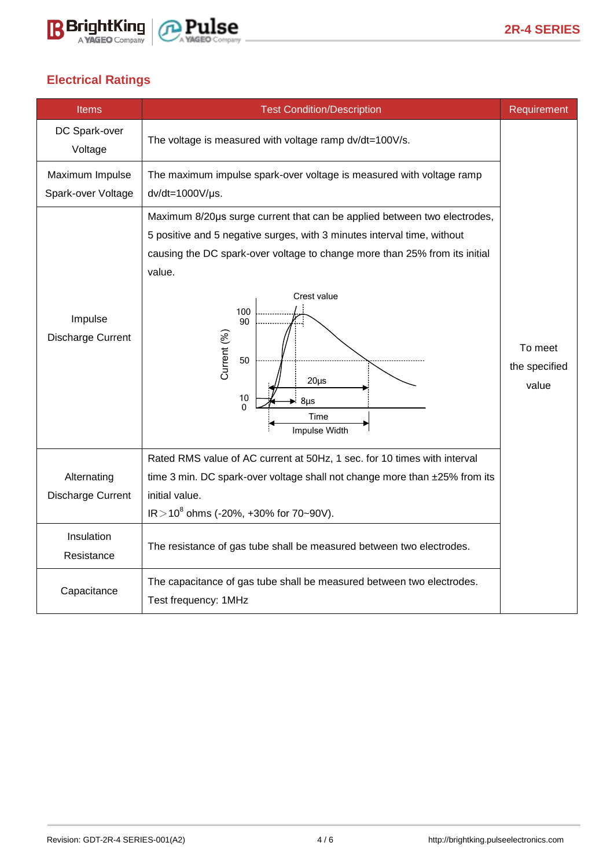



# **Electrical Ratings**

| <b>Items</b>                          | <b>Test Condition/Description</b>                                                                                                                                                                                                                                                                                                                                | Requirement                       |  |
|---------------------------------------|------------------------------------------------------------------------------------------------------------------------------------------------------------------------------------------------------------------------------------------------------------------------------------------------------------------------------------------------------------------|-----------------------------------|--|
| DC Spark-over<br>Voltage              | The voltage is measured with voltage ramp dv/dt=100V/s.                                                                                                                                                                                                                                                                                                          |                                   |  |
| Maximum Impulse<br>Spark-over Voltage | The maximum impulse spark-over voltage is measured with voltage ramp<br>$dv/dt = 1000V/\mu s$ .                                                                                                                                                                                                                                                                  |                                   |  |
| Impulse<br>Discharge Current          | Maximum 8/20µs surge current that can be applied between two electrodes,<br>5 positive and 5 negative surges, with 3 minutes interval time, without<br>causing the DC spark-over voltage to change more than 25% from its initial<br>value.<br>Crest value<br>100<br>90<br>Current (%)<br>50<br>$20\mu s$<br>10<br>$8\mu$ s<br>$\Omega$<br>Time<br>Impulse Width | To meet<br>the specified<br>value |  |
| Alternating<br>Discharge Current      | Rated RMS value of AC current at 50Hz, 1 sec. for 10 times with interval<br>time 3 min. DC spark-over voltage shall not change more than ±25% from its<br>initial value.<br>$IR > 10^8$ ohms (-20%, +30% for 70~90V).                                                                                                                                            |                                   |  |
| Insulation<br>Resistance              | The resistance of gas tube shall be measured between two electrodes.                                                                                                                                                                                                                                                                                             |                                   |  |
| Capacitance                           | The capacitance of gas tube shall be measured between two electrodes.<br>Test frequency: 1MHz                                                                                                                                                                                                                                                                    |                                   |  |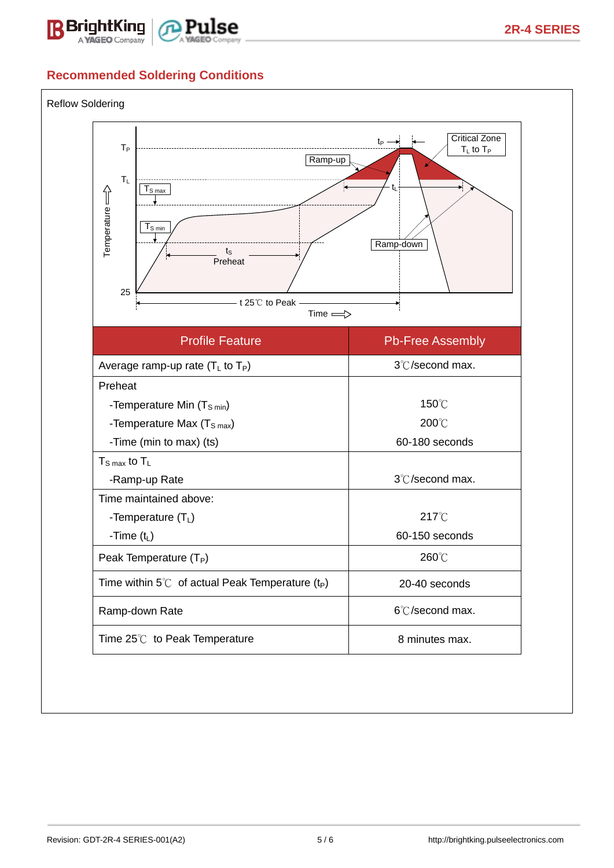



# **Recommended Soldering Conditions**